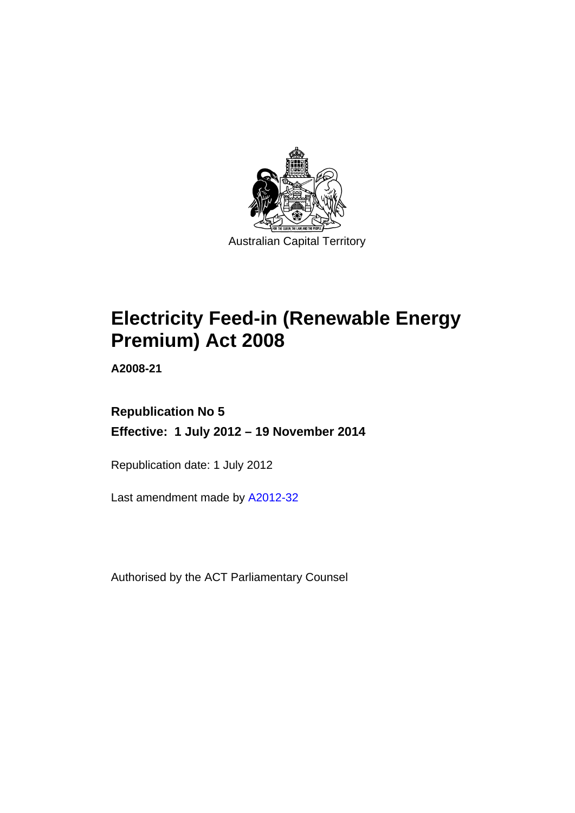

# **Electricity Feed-in (Renewable Energy Premium) Act 2008**

**A2008-21** 

### **Republication No 5 Effective: 1 July 2012 – 19 November 2014**

Republication date: 1 July 2012

Last amendment made by [A2012-32](http://www.legislation.act.gov.au/a/2012-32)

Authorised by the ACT Parliamentary Counsel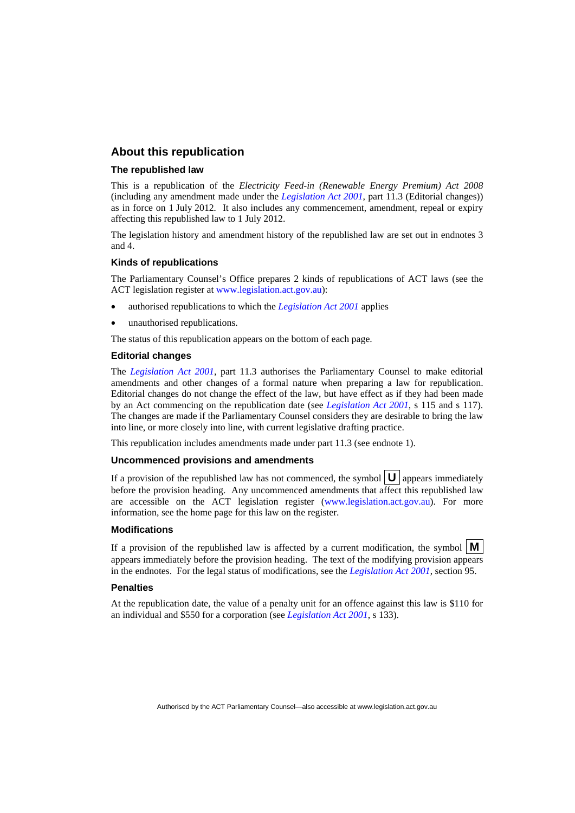#### **About this republication**

#### **The republished law**

This is a republication of the *Electricity Feed-in (Renewable Energy Premium) Act 2008* (including any amendment made under the *[Legislation Act 2001](http://www.legislation.act.gov.au/a/2001-14)*, part 11.3 (Editorial changes)) as in force on 1 July 2012*.* It also includes any commencement, amendment, repeal or expiry affecting this republished law to 1 July 2012.

The legislation history and amendment history of the republished law are set out in endnotes 3 and 4.

#### **Kinds of republications**

The Parliamentary Counsel's Office prepares 2 kinds of republications of ACT laws (see the ACT legislation register at [www.legislation.act.gov.au](http://www.legislation.act.gov.au/)):

- authorised republications to which the *[Legislation Act 2001](http://www.legislation.act.gov.au/a/2001-14)* applies
- unauthorised republications.

The status of this republication appears on the bottom of each page.

#### **Editorial changes**

The *[Legislation Act 2001](http://www.legislation.act.gov.au/a/2001-14)*, part 11.3 authorises the Parliamentary Counsel to make editorial amendments and other changes of a formal nature when preparing a law for republication. Editorial changes do not change the effect of the law, but have effect as if they had been made by an Act commencing on the republication date (see *[Legislation Act 2001](http://www.legislation.act.gov.au/a/2001-14)*, s 115 and s 117). The changes are made if the Parliamentary Counsel considers they are desirable to bring the law into line, or more closely into line, with current legislative drafting practice.

This republication includes amendments made under part 11.3 (see endnote 1).

#### **Uncommenced provisions and amendments**

If a provision of the republished law has not commenced, the symbol  $\mathbf{U}$  appears immediately before the provision heading. Any uncommenced amendments that affect this republished law are accessible on the ACT legislation register [\(www.legislation.act.gov.au\)](http://www.legislation.act.gov.au/). For more information, see the home page for this law on the register.

#### **Modifications**

If a provision of the republished law is affected by a current modification, the symbol  $\mathbf{M}$ appears immediately before the provision heading. The text of the modifying provision appears in the endnotes. For the legal status of modifications, see the *[Legislation Act 2001](http://www.legislation.act.gov.au/a/2001-14)*, section 95.

#### **Penalties**

At the republication date, the value of a penalty unit for an offence against this law is \$110 for an individual and \$550 for a corporation (see *[Legislation Act 2001](http://www.legislation.act.gov.au/a/2001-14)*, s 133).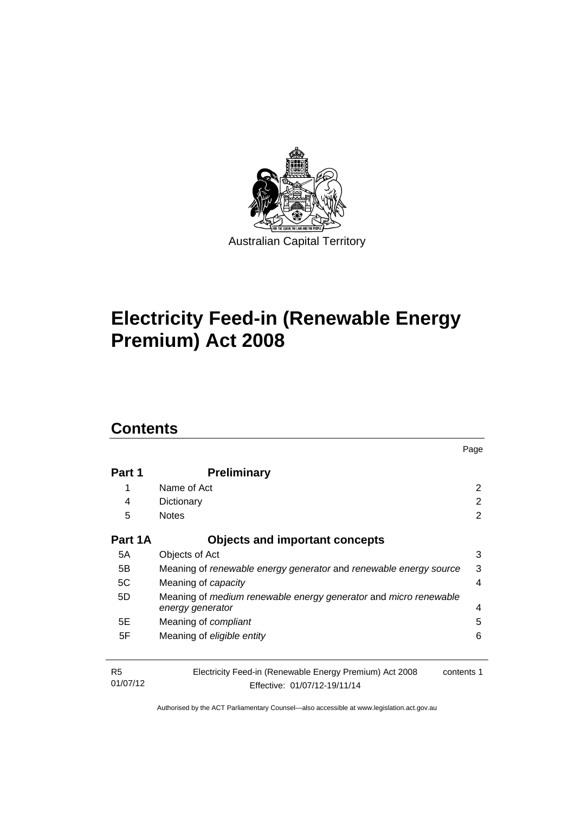

# **Electricity Feed-in (Renewable Energy Premium) Act 2008**

### **Contents**

| Part 1                     | <b>Preliminary</b>                                                                                    |                |
|----------------------------|-------------------------------------------------------------------------------------------------------|----------------|
| 1                          | Name of Act                                                                                           | $\overline{2}$ |
| 4                          | Dictionary                                                                                            | 2              |
| 5                          | <b>Notes</b>                                                                                          | 2              |
| Part 1A                    | <b>Objects and important concepts</b>                                                                 |                |
| 5A                         | Objects of Act                                                                                        | 3              |
| 5B                         | Meaning of renewable energy generator and renewable energy source                                     | 3              |
| 5C                         | Meaning of capacity                                                                                   | 4              |
| 5D                         | Meaning of medium renewable energy generator and micro renewable<br>energy generator                  | 4              |
| 5E                         | Meaning of <i>compliant</i>                                                                           | 5              |
| 5F                         | Meaning of eligible entity                                                                            | 6              |
| R <sub>5</sub><br>01/07/12 | Electricity Feed-in (Renewable Energy Premium) Act 2008<br>contents 1<br>Effective: 01/07/12-19/11/14 |                |

Page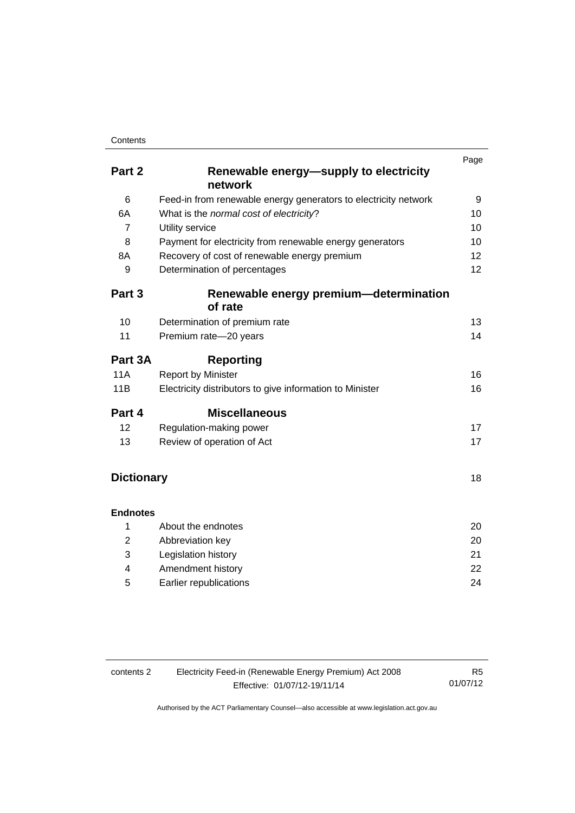#### **Contents**

|                   |                                                                 | Page |
|-------------------|-----------------------------------------------------------------|------|
| Part 2            | Renewable energy-supply to electricity                          |      |
|                   | network                                                         |      |
| 6                 | Feed-in from renewable energy generators to electricity network | 9    |
| 6A                | What is the normal cost of electricity?                         | 10   |
| $\overline{7}$    | Utility service                                                 | 10   |
| 8                 | Payment for electricity from renewable energy generators        | 10   |
| 8A                | Recovery of cost of renewable energy premium                    | 12   |
| 9                 | Determination of percentages                                    | 12   |
| Part 3            | Renewable energy premium—determination                          |      |
|                   | of rate                                                         |      |
| 10                | Determination of premium rate                                   | 13   |
| 11                | Premium rate-20 years                                           | 14   |
| Part 3A           | <b>Reporting</b>                                                |      |
| <b>11A</b>        | <b>Report by Minister</b>                                       | 16   |
| 11B               | Electricity distributors to give information to Minister        | 16   |
| Part 4            | <b>Miscellaneous</b>                                            |      |
| 12                | Regulation-making power                                         | 17   |
| 13                | Review of operation of Act                                      | 17   |
|                   |                                                                 |      |
| <b>Dictionary</b> |                                                                 | 18   |
| <b>Endnotes</b>   |                                                                 |      |
| 1                 | About the endnotes                                              | 20   |
| $\overline{2}$    | Abbreviation key                                                | 20   |
| 3                 | Legislation history                                             | 21   |
| 4                 | Amendment history                                               | 22   |

5 [Earlier republications 24](#page-27-0)

| contents 2 | Electricity Feed-in (Renewable Energy Premium) Act 2008 | R5       |
|------------|---------------------------------------------------------|----------|
|            | Effective: 01/07/12-19/11/14                            | 01/07/12 |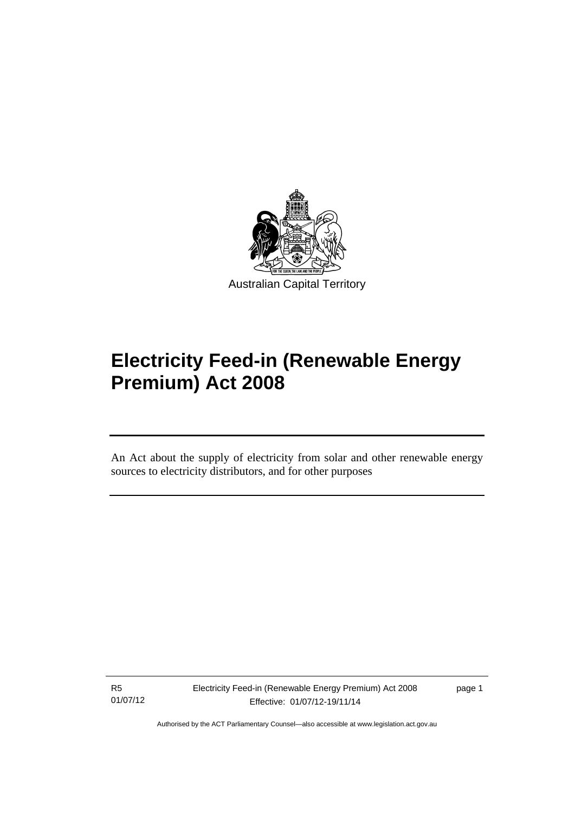

# **Electricity Feed-in (Renewable Energy Premium) Act 2008**

An Act about the supply of electricity from solar and other renewable energy sources to electricity distributors, and for other purposes

R5 01/07/12

l

Electricity Feed-in (Renewable Energy Premium) Act 2008 Effective: 01/07/12-19/11/14

page 1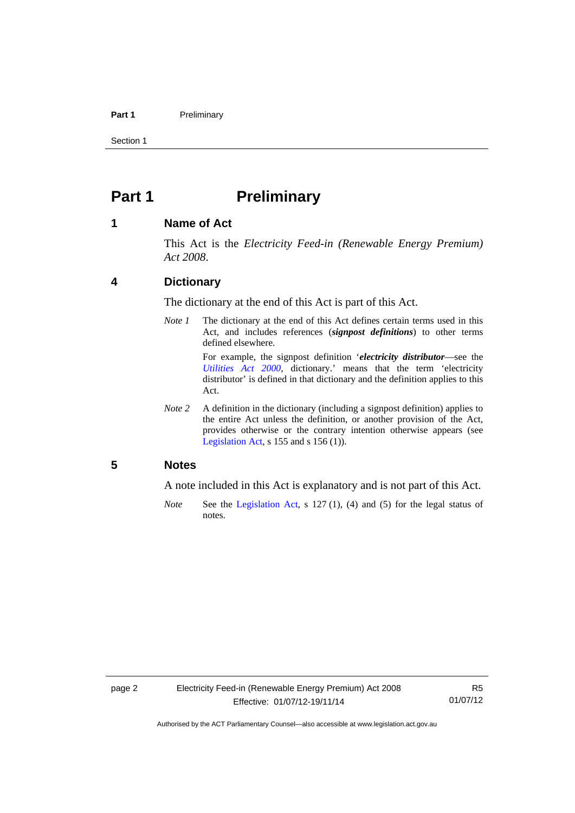#### Part 1 **Preliminary**

Section 1

### <span id="page-5-0"></span>**Part 1** Preliminary

#### <span id="page-5-1"></span>**1 Name of Act**

This Act is the *Electricity Feed-in (Renewable Energy Premium) Act 2008*.

#### <span id="page-5-2"></span>**4 Dictionary**

The dictionary at the end of this Act is part of this Act.

*Note 1* The dictionary at the end of this Act defines certain terms used in this Act, and includes references (*signpost definitions*) to other terms defined elsewhere.

> For example, the signpost definition '*electricity distributor*—see the *[Utilities Act 2000](http://www.legislation.act.gov.au/a/2000-65)*, dictionary.' means that the term 'electricity distributor' is defined in that dictionary and the definition applies to this Act.

*Note 2* A definition in the dictionary (including a signpost definition) applies to the entire Act unless the definition, or another provision of the Act, provides otherwise or the contrary intention otherwise appears (see [Legislation Act,](http://www.legislation.act.gov.au/a/2001-14) s  $155$  and s  $156$  (1)).

#### <span id="page-5-3"></span>**5 Notes**

A note included in this Act is explanatory and is not part of this Act.

*Note* See the [Legislation Act,](http://www.legislation.act.gov.au/a/2001-14) s 127 (1), (4) and (5) for the legal status of notes.

R5 01/07/12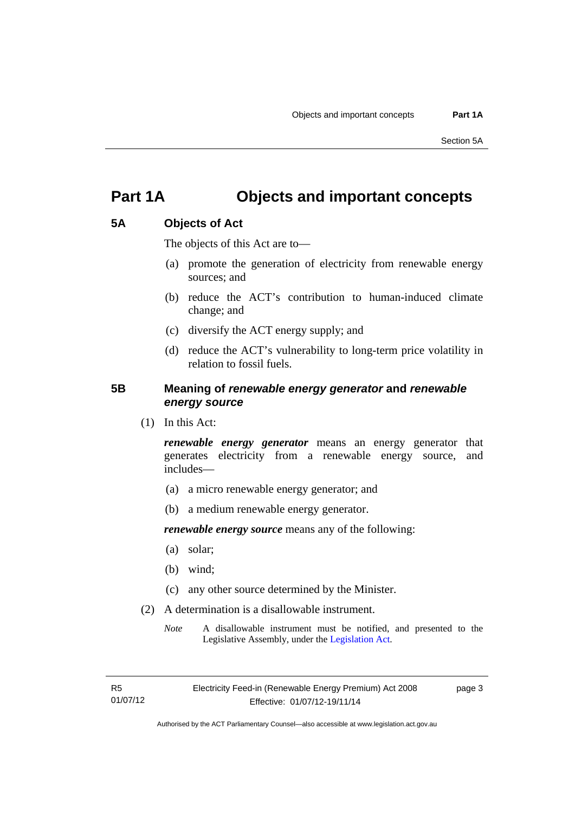### <span id="page-6-0"></span>**Part 1A Objects and important concepts**

#### <span id="page-6-1"></span>**5A Objects of Act**

The objects of this Act are to—

- (a) promote the generation of electricity from renewable energy sources; and
- (b) reduce the ACT's contribution to human-induced climate change; and
- (c) diversify the ACT energy supply; and
- (d) reduce the ACT's vulnerability to long-term price volatility in relation to fossil fuels.

#### <span id="page-6-2"></span>**5B Meaning of** *renewable energy generator* **and** *renewable energy source*

(1) In this Act:

*renewable energy generator* means an energy generator that generates electricity from a renewable energy source, and includes—

- (a) a micro renewable energy generator; and
- (b) a medium renewable energy generator.

*renewable energy source* means any of the following:

- (a) solar;
- (b) wind;
- (c) any other source determined by the Minister.
- (2) A determination is a disallowable instrument.
	- *Note* A disallowable instrument must be notified, and presented to the Legislative Assembly, under the [Legislation Act.](http://www.legislation.act.gov.au/a/2001-14)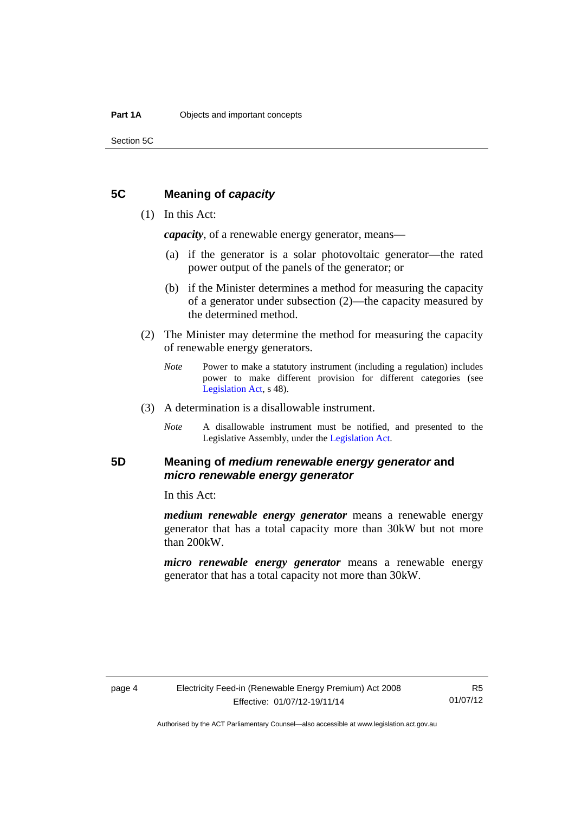Section 5C

#### <span id="page-7-0"></span>**5C Meaning of** *capacity*

#### (1) In this Act:

*capacity*, of a renewable energy generator, means—

- (a) if the generator is a solar photovoltaic generator—the rated power output of the panels of the generator; or
- (b) if the Minister determines a method for measuring the capacity of a generator under subsection (2)—the capacity measured by the determined method.
- (2) The Minister may determine the method for measuring the capacity of renewable energy generators.
	- *Note* Power to make a statutory instrument (including a regulation) includes power to make different provision for different categories (see [Legislation Act,](http://www.legislation.act.gov.au/a/2001-14) s 48).
- (3) A determination is a disallowable instrument.
	- *Note* A disallowable instrument must be notified, and presented to the Legislative Assembly, under the [Legislation Act.](http://www.legislation.act.gov.au/a/2001-14)

### <span id="page-7-1"></span>**5D Meaning of** *medium renewable energy generator* **and**  *micro renewable energy generator*

In this Act:

*medium renewable energy generator* means a renewable energy generator that has a total capacity more than 30kW but not more than 200kW.

*micro renewable energy generator* means a renewable energy generator that has a total capacity not more than 30kW.

R5 01/07/12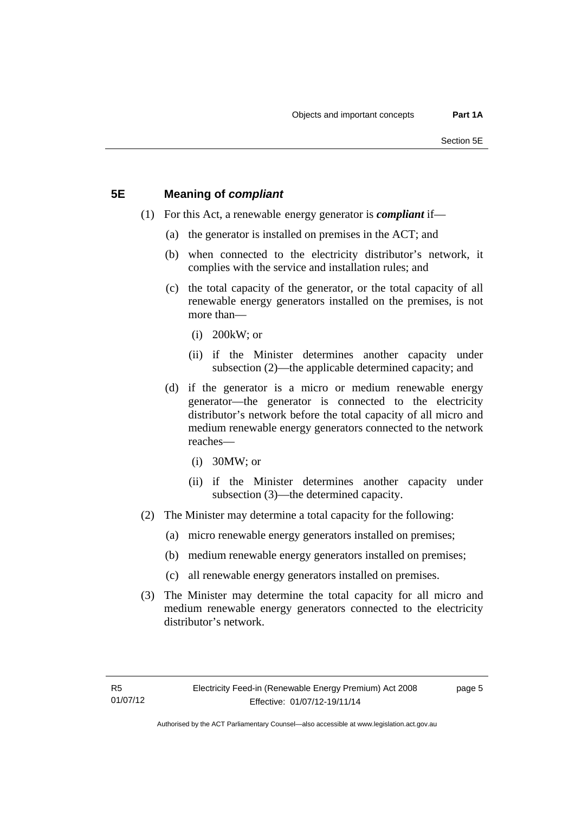#### <span id="page-8-0"></span>**5E Meaning of** *compliant*

- (1) For this Act, a renewable energy generator is *compliant* if—
	- (a) the generator is installed on premises in the ACT; and
	- (b) when connected to the electricity distributor's network, it complies with the service and installation rules; and
	- (c) the total capacity of the generator, or the total capacity of all renewable energy generators installed on the premises, is not more than—
		- (i) 200kW; or
		- (ii) if the Minister determines another capacity under subsection (2)—the applicable determined capacity; and
	- (d) if the generator is a micro or medium renewable energy generator—the generator is connected to the electricity distributor's network before the total capacity of all micro and medium renewable energy generators connected to the network reaches—
		- (i) 30MW; or
		- (ii) if the Minister determines another capacity under subsection (3)—the determined capacity.
- (2) The Minister may determine a total capacity for the following:
	- (a) micro renewable energy generators installed on premises;
	- (b) medium renewable energy generators installed on premises;
	- (c) all renewable energy generators installed on premises.
- (3) The Minister may determine the total capacity for all micro and medium renewable energy generators connected to the electricity distributor's network.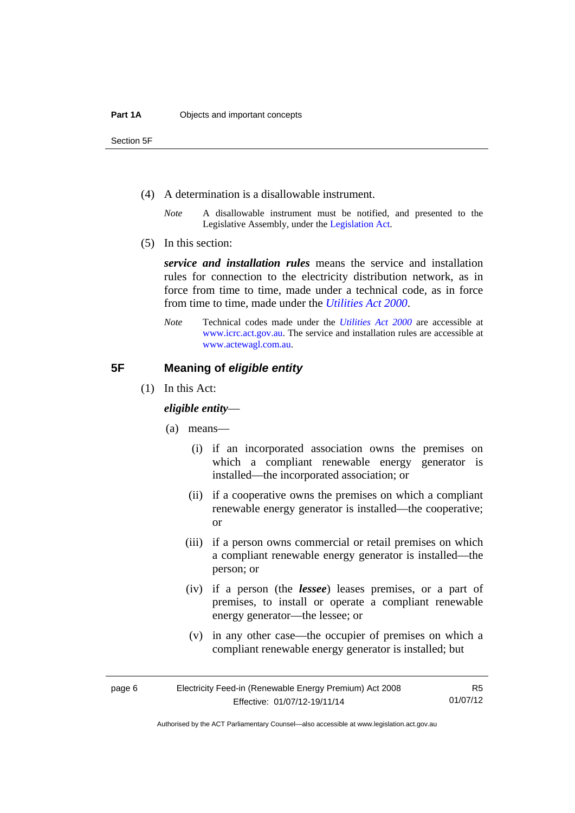Section 5F

- (4) A determination is a disallowable instrument.
	- *Note* A disallowable instrument must be notified, and presented to the Legislative Assembly, under the [Legislation Act.](http://www.legislation.act.gov.au/a/2001-14)
- (5) In this section:

*service and installation rules* means the service and installation rules for connection to the electricity distribution network, as in force from time to time, made under a technical code, as in force from time to time, made under the *[Utilities Act 2000](http://www.legislation.act.gov.au/a/2000-65)*.

*Note* Technical codes made under the *[Utilities Act 2000](http://www.legislation.act.gov.au/a/2000-65)* are accessible at [www.icrc.act.gov.au.](http://www.icrc.act.gov.au/) The service and installation rules are accessible at [www.actewagl.com.au](http://www.actewagl.com.au/).

#### <span id="page-9-0"></span>**5F Meaning of** *eligible entity*

(1) In this Act:

#### *eligible entity*—

- (a) means—
	- (i) if an incorporated association owns the premises on which a compliant renewable energy generator is installed—the incorporated association; or
	- (ii) if a cooperative owns the premises on which a compliant renewable energy generator is installed—the cooperative; or
	- (iii) if a person owns commercial or retail premises on which a compliant renewable energy generator is installed—the person; or
	- (iv) if a person (the *lessee*) leases premises, or a part of premises, to install or operate a compliant renewable energy generator—the lessee; or
	- (v) in any other case—the occupier of premises on which a compliant renewable energy generator is installed; but

R5 01/07/12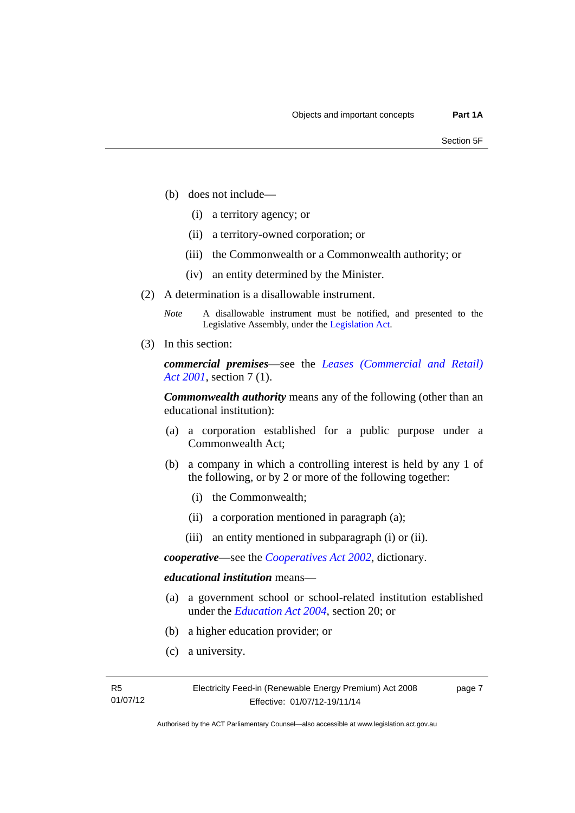- (b) does not include—
	- (i) a territory agency; or
	- (ii) a territory-owned corporation; or
	- (iii) the Commonwealth or a Commonwealth authority; or
	- (iv) an entity determined by the Minister.
- (2) A determination is a disallowable instrument.
	- *Note* A disallowable instrument must be notified, and presented to the Legislative Assembly, under the [Legislation Act.](http://www.legislation.act.gov.au/a/2001-14)
- (3) In this section:

*commercial premises*—see the *[Leases \(Commercial and Retail\)](http://www.legislation.act.gov.au/a/2001-18)  [Act 2001](http://www.legislation.act.gov.au/a/2001-18)*, section 7 (1).

*Commonwealth authority* means any of the following (other than an educational institution):

- (a) a corporation established for a public purpose under a Commonwealth Act;
- (b) a company in which a controlling interest is held by any 1 of the following, or by 2 or more of the following together:
	- (i) the Commonwealth;
	- (ii) a corporation mentioned in paragraph (a);
	- (iii) an entity mentioned in subparagraph (i) or (ii).

*cooperative*—see the *[Cooperatives Act 2002](http://www.legislation.act.gov.au/a/2002-45)*, dictionary.

#### *educational institution* means—

- (a) a government school or school-related institution established under the *[Education Act 2004](http://www.legislation.act.gov.au/a/2004-17)*, section 20; or
- (b) a higher education provider; or
- (c) a university.

page 7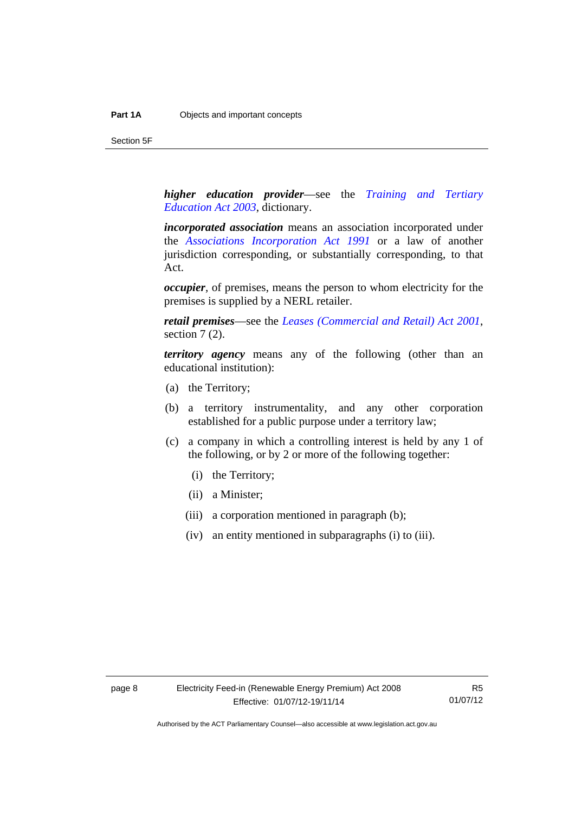Section 5F

*higher education provider*—see the *[Training and Tertiary](http://www.legislation.act.gov.au/a/2003-36)  [Education Act 2003](http://www.legislation.act.gov.au/a/2003-36)*, dictionary.

*incorporated association* means an association incorporated under the *[Associations Incorporation Act 1991](http://www.legislation.act.gov.au/a/1991-46)* or a law of another jurisdiction corresponding, or substantially corresponding, to that Act.

*occupier*, of premises, means the person to whom electricity for the premises is supplied by a NERL retailer.

*retail premises*—see the *[Leases \(Commercial and Retail\) Act 2001](http://www.legislation.act.gov.au/a/2001-18)*, section 7 (2).

*territory agency* means any of the following (other than an educational institution):

- (a) the Territory;
- (b) a territory instrumentality, and any other corporation established for a public purpose under a territory law;
- (c) a company in which a controlling interest is held by any 1 of the following, or by 2 or more of the following together:
	- (i) the Territory;
	- (ii) a Minister;
	- (iii) a corporation mentioned in paragraph (b);
	- (iv) an entity mentioned in subparagraphs (i) to (iii).

R5 01/07/12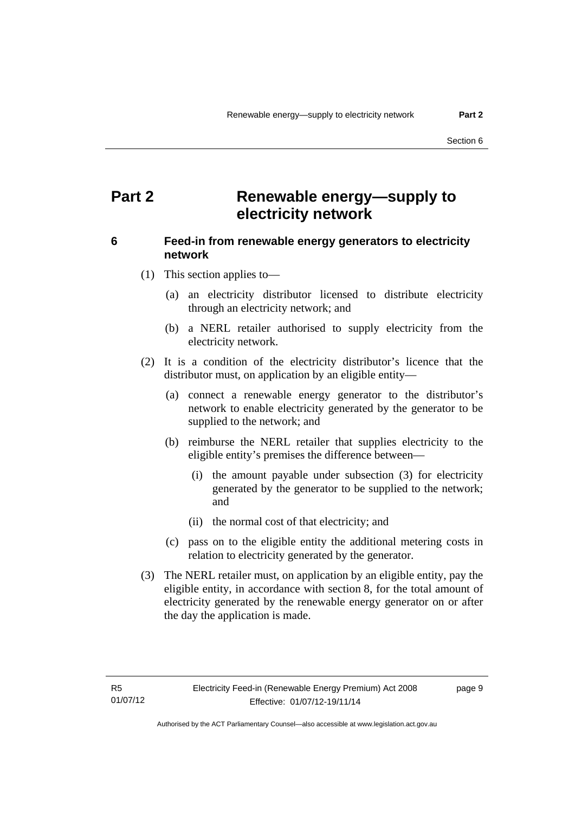### <span id="page-12-0"></span>**Part 2 Renewable energy—supply to electricity network**

### <span id="page-12-1"></span>**6 Feed-in from renewable energy generators to electricity network**

(1) This section applies to—

- (a) an electricity distributor licensed to distribute electricity through an electricity network; and
- (b) a NERL retailer authorised to supply electricity from the electricity network.
- (2) It is a condition of the electricity distributor's licence that the distributor must, on application by an eligible entity—
	- (a) connect a renewable energy generator to the distributor's network to enable electricity generated by the generator to be supplied to the network; and
	- (b) reimburse the NERL retailer that supplies electricity to the eligible entity's premises the difference between—
		- (i) the amount payable under subsection (3) for electricity generated by the generator to be supplied to the network; and
		- (ii) the normal cost of that electricity; and
	- (c) pass on to the eligible entity the additional metering costs in relation to electricity generated by the generator.
- (3) The NERL retailer must, on application by an eligible entity, pay the eligible entity, in accordance with section 8, for the total amount of electricity generated by the renewable energy generator on or after the day the application is made.

page 9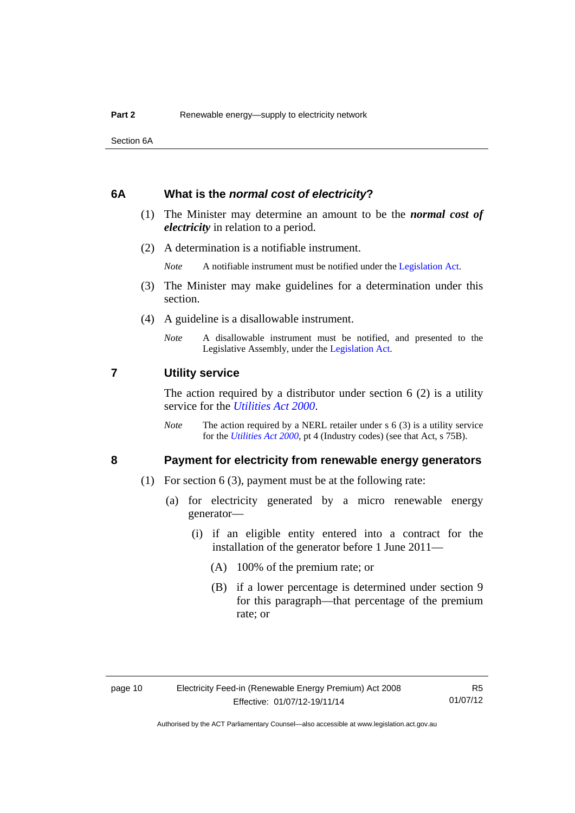Section 6A

#### <span id="page-13-0"></span>**6A What is the** *normal cost of electricity***?**

- (1) The Minister may determine an amount to be the *normal cost of electricity* in relation to a period.
- (2) A determination is a notifiable instrument.

*Note* A notifiable instrument must be notified under the [Legislation Act](http://www.legislation.act.gov.au/a/2001-14).

- (3) The Minister may make guidelines for a determination under this section.
- (4) A guideline is a disallowable instrument.
	- *Note* A disallowable instrument must be notified, and presented to the Legislative Assembly, under the [Legislation Act.](http://www.legislation.act.gov.au/a/2001-14)

#### <span id="page-13-1"></span>**7 Utility service**

The action required by a distributor under section  $6(2)$  is a utility service for the *[Utilities Act 2000](http://www.legislation.act.gov.au/a/2000-65)*.

*Note* The action required by a NERL retailer under s 6 (3) is a utility service for the *[Utilities Act 2000](http://www.legislation.act.gov.au/a/2000-65)*, pt 4 (Industry codes) (see that Act, s 75B).

#### <span id="page-13-2"></span>**8 Payment for electricity from renewable energy generators**

- (1) For section 6 (3), payment must be at the following rate:
	- (a) for electricity generated by a micro renewable energy generator—
		- (i) if an eligible entity entered into a contract for the installation of the generator before 1 June 2011—
			- (A) 100% of the premium rate; or
			- (B) if a lower percentage is determined under section 9 for this paragraph—that percentage of the premium rate; or

R5 01/07/12

Authorised by the ACT Parliamentary Counsel—also accessible at www.legislation.act.gov.au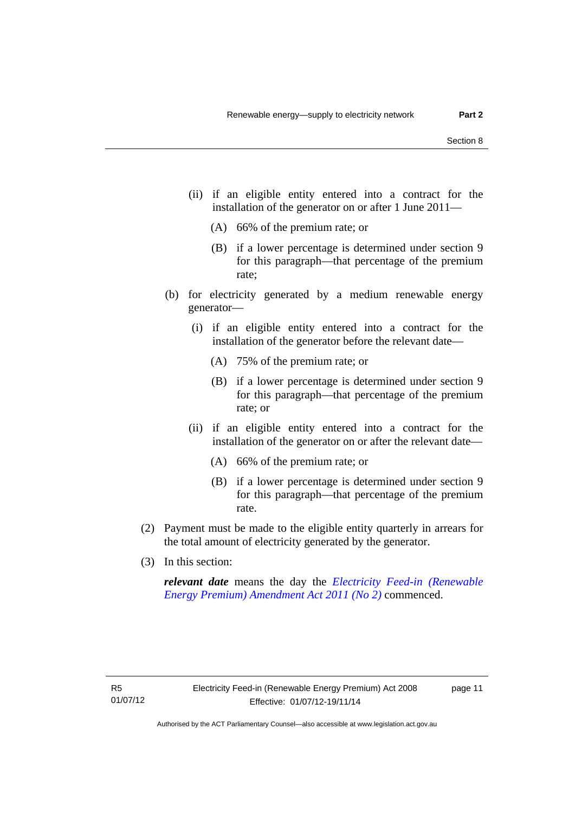- (ii) if an eligible entity entered into a contract for the installation of the generator on or after 1 June 2011—
	- (A) 66% of the premium rate; or
	- (B) if a lower percentage is determined under section 9 for this paragraph—that percentage of the premium rate;
- (b) for electricity generated by a medium renewable energy generator—
	- (i) if an eligible entity entered into a contract for the installation of the generator before the relevant date—
		- (A) 75% of the premium rate; or
		- (B) if a lower percentage is determined under section 9 for this paragraph—that percentage of the premium rate; or
	- (ii) if an eligible entity entered into a contract for the installation of the generator on or after the relevant date—
		- (A) 66% of the premium rate; or
		- (B) if a lower percentage is determined under section 9 for this paragraph—that percentage of the premium rate.
- (2) Payment must be made to the eligible entity quarterly in arrears for the total amount of electricity generated by the generator.
- (3) In this section:

*relevant date* means the day the *[Electricity Feed-in \(Renewable](http://www.legislation.act.gov.au/a/2011-25)  [Energy Premium\) Amendment Act 2011 \(No 2\)](http://www.legislation.act.gov.au/a/2011-25)* commenced.

page 11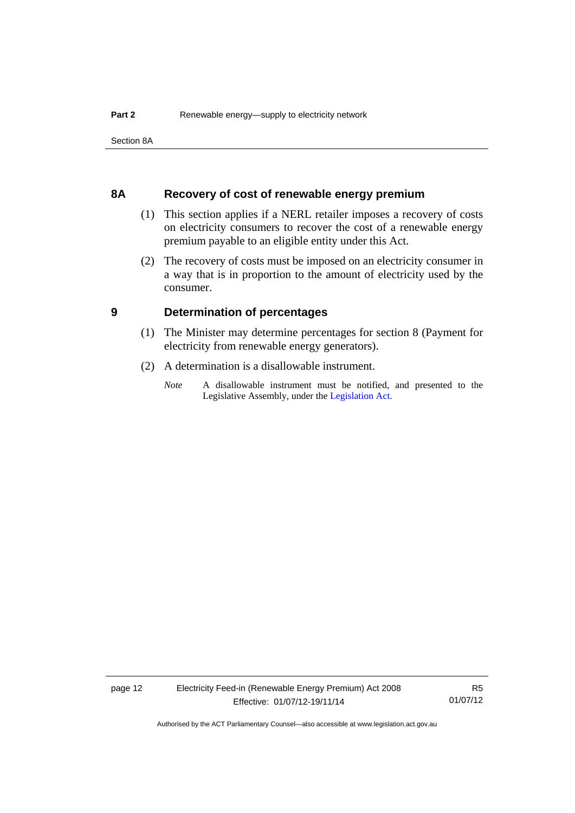Section 8A

#### <span id="page-15-0"></span>**8A Recovery of cost of renewable energy premium**

- (1) This section applies if a NERL retailer imposes a recovery of costs on electricity consumers to recover the cost of a renewable energy premium payable to an eligible entity under this Act.
- (2) The recovery of costs must be imposed on an electricity consumer in a way that is in proportion to the amount of electricity used by the consumer.

#### <span id="page-15-1"></span>**9 Determination of percentages**

- (1) The Minister may determine percentages for section 8 (Payment for electricity from renewable energy generators).
- (2) A determination is a disallowable instrument.
	- *Note* A disallowable instrument must be notified, and presented to the Legislative Assembly, under the [Legislation Act.](http://www.legislation.act.gov.au/a/2001-14)

R5 01/07/12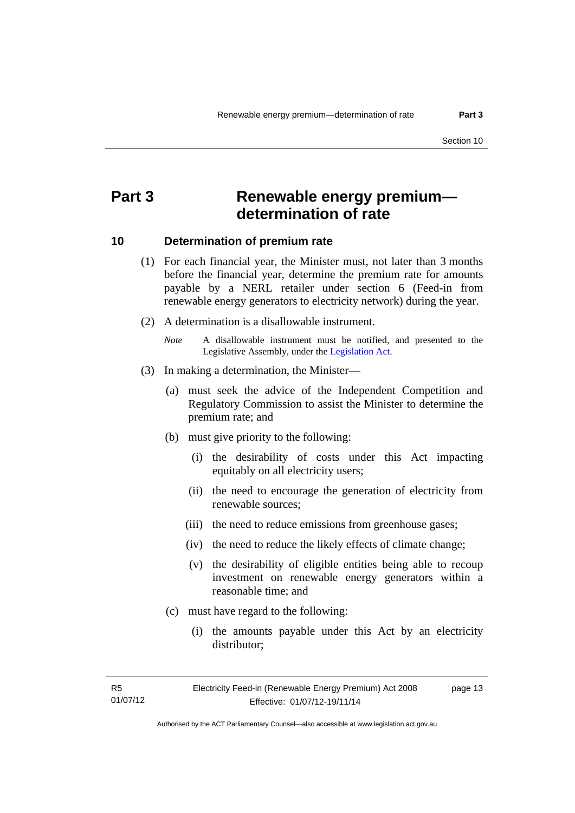### <span id="page-16-0"></span>**Part 3 Renewable energy premium determination of rate**

#### <span id="page-16-1"></span>**10 Determination of premium rate**

- (1) For each financial year, the Minister must, not later than 3 months before the financial year, determine the premium rate for amounts payable by a NERL retailer under section 6 (Feed-in from renewable energy generators to electricity network) during the year.
- (2) A determination is a disallowable instrument.
	- *Note* A disallowable instrument must be notified, and presented to the Legislative Assembly, under the [Legislation Act.](http://www.legislation.act.gov.au/a/2001-14)
- (3) In making a determination, the Minister—
	- (a) must seek the advice of the Independent Competition and Regulatory Commission to assist the Minister to determine the premium rate; and
	- (b) must give priority to the following:
		- (i) the desirability of costs under this Act impacting equitably on all electricity users;
		- (ii) the need to encourage the generation of electricity from renewable sources;
		- (iii) the need to reduce emissions from greenhouse gases;
		- (iv) the need to reduce the likely effects of climate change;
		- (v) the desirability of eligible entities being able to recoup investment on renewable energy generators within a reasonable time; and
	- (c) must have regard to the following:
		- (i) the amounts payable under this Act by an electricity distributor;

R5 01/07/12 page 13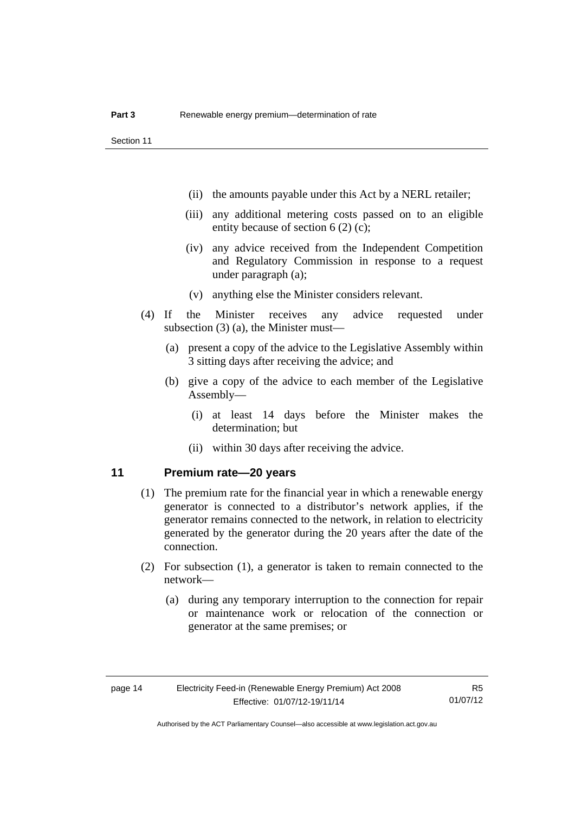- (ii) the amounts payable under this Act by a NERL retailer;
- (iii) any additional metering costs passed on to an eligible entity because of section 6 (2) (c);
- (iv) any advice received from the Independent Competition and Regulatory Commission in response to a request under paragraph (a);
- (v) anything else the Minister considers relevant.
- (4) If the Minister receives any advice requested under subsection (3) (a), the Minister must—
	- (a) present a copy of the advice to the Legislative Assembly within 3 sitting days after receiving the advice; and
	- (b) give a copy of the advice to each member of the Legislative Assembly—
		- (i) at least 14 days before the Minister makes the determination; but
		- (ii) within 30 days after receiving the advice.

#### <span id="page-17-0"></span>**11 Premium rate—20 years**

- (1) The premium rate for the financial year in which a renewable energy generator is connected to a distributor's network applies, if the generator remains connected to the network, in relation to electricity generated by the generator during the 20 years after the date of the connection.
- (2) For subsection (1), a generator is taken to remain connected to the network—
	- (a) during any temporary interruption to the connection for repair or maintenance work or relocation of the connection or generator at the same premises; or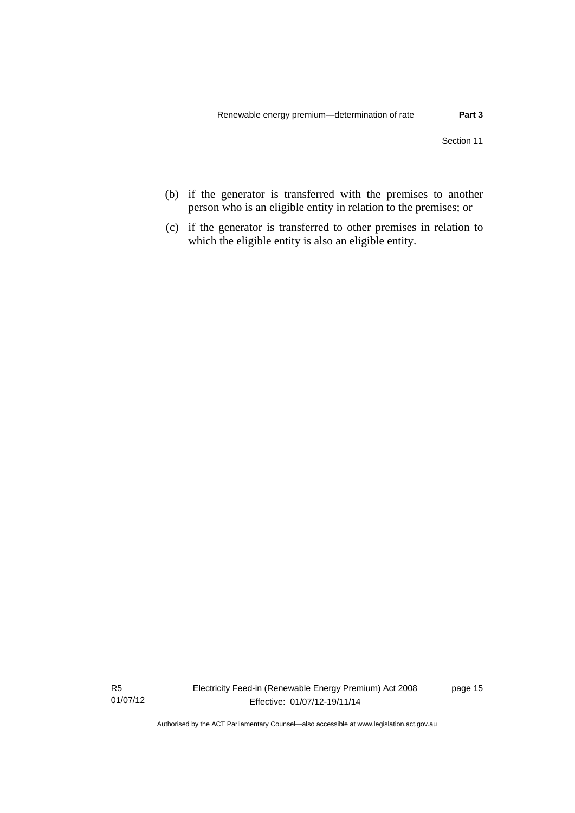- (b) if the generator is transferred with the premises to another person who is an eligible entity in relation to the premises; or
- (c) if the generator is transferred to other premises in relation to which the eligible entity is also an eligible entity.

R5 01/07/12 Electricity Feed-in (Renewable Energy Premium) Act 2008 Effective: 01/07/12-19/11/14

page 15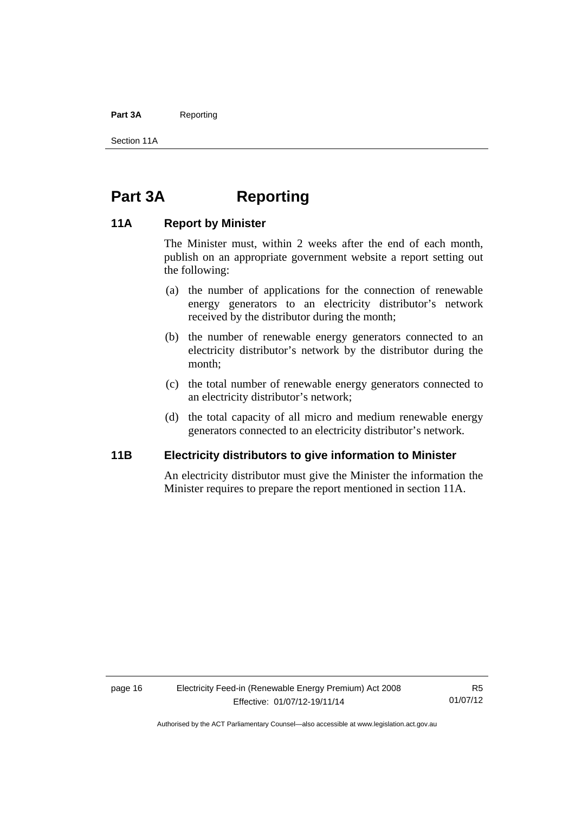#### Part 3A Reporting

Section 11A

### <span id="page-19-0"></span>**Part 3A Reporting**

#### <span id="page-19-1"></span>**11A Report by Minister**

The Minister must, within 2 weeks after the end of each month, publish on an appropriate government website a report setting out the following:

- (a) the number of applications for the connection of renewable energy generators to an electricity distributor's network received by the distributor during the month;
- (b) the number of renewable energy generators connected to an electricity distributor's network by the distributor during the month;
- (c) the total number of renewable energy generators connected to an electricity distributor's network;
- (d) the total capacity of all micro and medium renewable energy generators connected to an electricity distributor's network.

#### <span id="page-19-2"></span>**11B Electricity distributors to give information to Minister**

An electricity distributor must give the Minister the information the Minister requires to prepare the report mentioned in section 11A.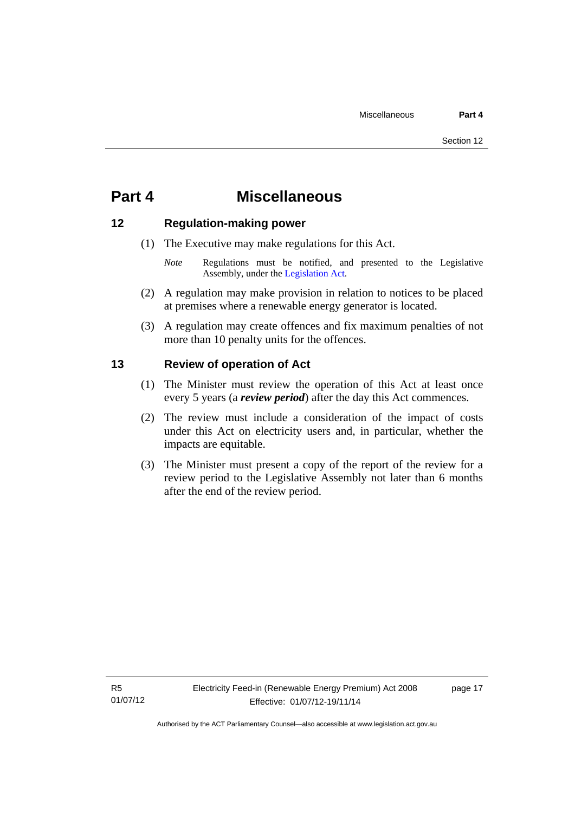### <span id="page-20-0"></span>**Part 4 Miscellaneous**

#### <span id="page-20-1"></span>**12 Regulation-making power**

- (1) The Executive may make regulations for this Act.
	- *Note* Regulations must be notified, and presented to the Legislative Assembly, under the [Legislation Act](http://www.legislation.act.gov.au/a/2001-14).
- (2) A regulation may make provision in relation to notices to be placed at premises where a renewable energy generator is located.
- (3) A regulation may create offences and fix maximum penalties of not more than 10 penalty units for the offences.

#### <span id="page-20-2"></span>**13 Review of operation of Act**

- (1) The Minister must review the operation of this Act at least once every 5 years (a *review period*) after the day this Act commences.
- (2) The review must include a consideration of the impact of costs under this Act on electricity users and, in particular, whether the impacts are equitable.
- (3) The Minister must present a copy of the report of the review for a review period to the Legislative Assembly not later than 6 months after the end of the review period.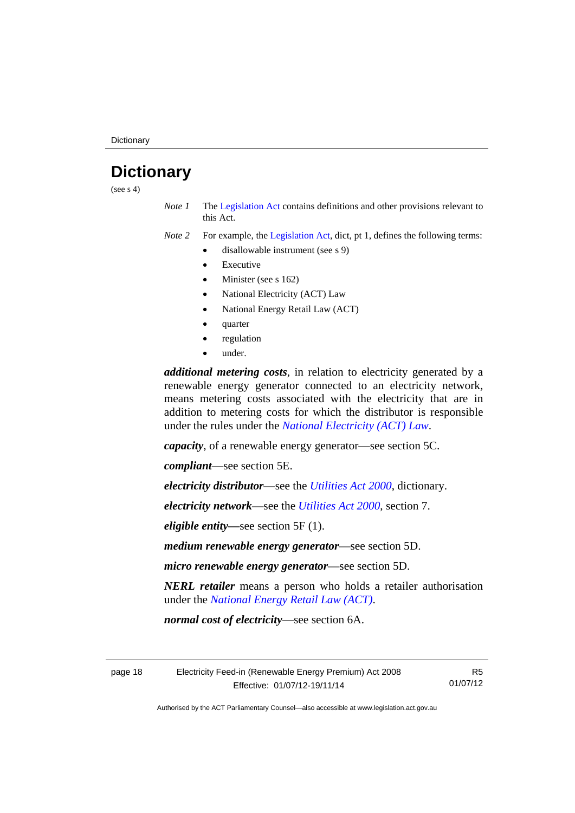## <span id="page-21-0"></span>**Dictionary**

(see  $s$  4)

*Note 1* The [Legislation Act](http://www.legislation.act.gov.au/a/2001-14) contains definitions and other provisions relevant to this Act.

*Note 2* For example, the [Legislation Act,](http://www.legislation.act.gov.au/a/2001-14) dict, pt 1, defines the following terms:

- disallowable instrument (see s 9)
	- Executive
	- Minister (see s 162)
	- National Electricity (ACT) Law
	- National Energy Retail Law (ACT)
	- quarter
	- regulation
	- under.

*additional metering costs*, in relation to electricity generated by a renewable energy generator connected to an electricity network, means metering costs associated with the electricity that are in addition to metering costs for which the distributor is responsible under the rules under the *[National Electricity \(ACT\) Law](http://www.legislation.act.gov.au/a/1997-79/default.asp)*.

*capacity*, of a renewable energy generator—see section 5C.

*compliant*—see section 5E.

*electricity distributor*—see the *[Utilities Act 2000](http://www.legislation.act.gov.au/a/2000-65)*, dictionary.

*electricity network*—see the *[Utilities Act 2000](http://www.legislation.act.gov.au/a/2000-65)*, section 7.

*eligible entity—*see section 5F (1).

*medium renewable energy generator*—see section 5D.

*micro renewable energy generator*—see section 5D.

*NERL retailer* means a person who holds a retailer authorisation under the *[National Energy Retail Law \(ACT\)](http://www.legislation.act.gov.au/a/2012-31/default.asp)*.

*normal cost of electricity*—see section 6A.

page 18 Electricity Feed-in (Renewable Energy Premium) Act 2008 Effective: 01/07/12-19/11/14

R5 01/07/12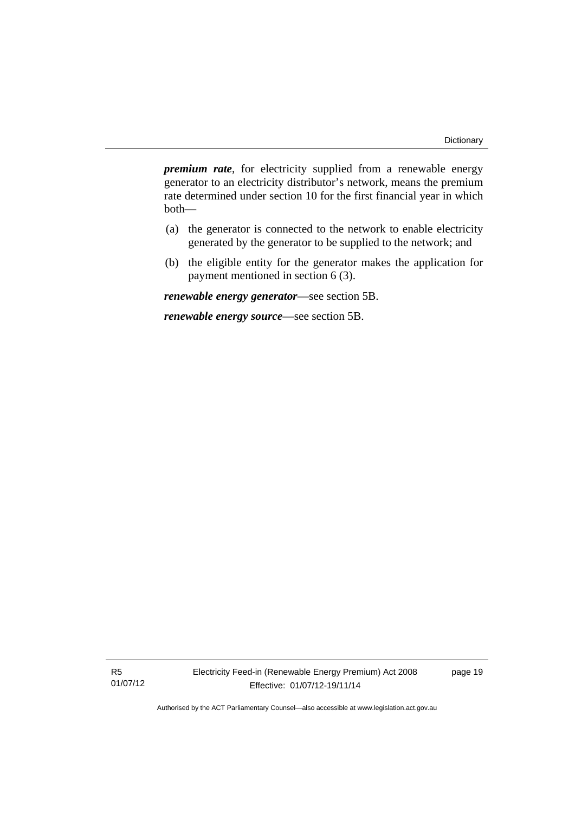*premium rate*, for electricity supplied from a renewable energy generator to an electricity distributor's network, means the premium rate determined under section 10 for the first financial year in which both—

- (a) the generator is connected to the network to enable electricity generated by the generator to be supplied to the network; and
- (b) the eligible entity for the generator makes the application for payment mentioned in section 6 (3).

*renewable energy generator*—see section 5B.

*renewable energy source*—see section 5B.

R5 01/07/12 page 19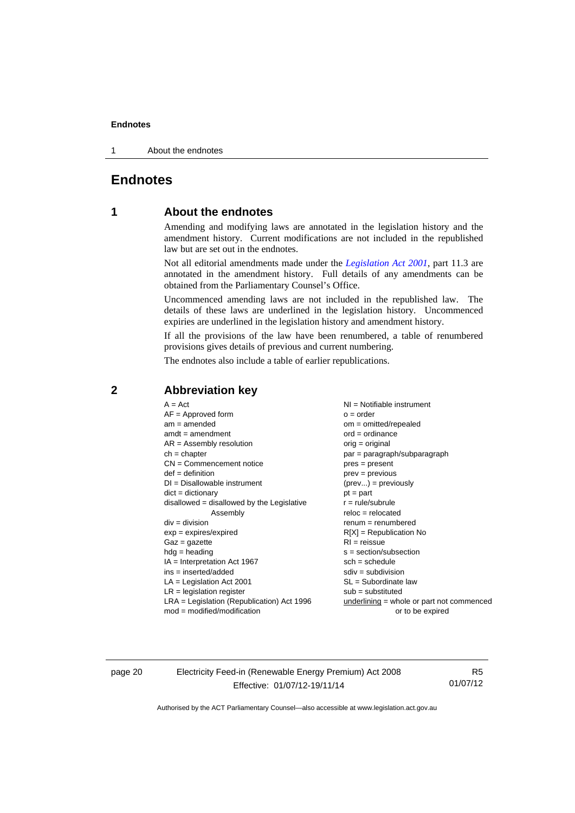1 About the endnotes

#### <span id="page-23-0"></span>**Endnotes**

#### **1 About the endnotes**

Amending and modifying laws are annotated in the legislation history and the amendment history. Current modifications are not included in the republished law but are set out in the endnotes.

Not all editorial amendments made under the *[Legislation Act 2001](http://www.legislation.act.gov.au/a/2001-14)*, part 11.3 are annotated in the amendment history. Full details of any amendments can be obtained from the Parliamentary Counsel's Office.

Uncommenced amending laws are not included in the republished law. The details of these laws are underlined in the legislation history. Uncommenced expiries are underlined in the legislation history and amendment history.

If all the provisions of the law have been renumbered, a table of renumbered provisions gives details of previous and current numbering.

The endnotes also include a table of earlier republications.

#### <span id="page-23-2"></span>**2 Abbreviation key**

page 20 Electricity Feed-in (Renewable Energy Premium) Act 2008 Effective: 01/07/12-19/11/14

R5 01/07/12

<span id="page-23-1"></span>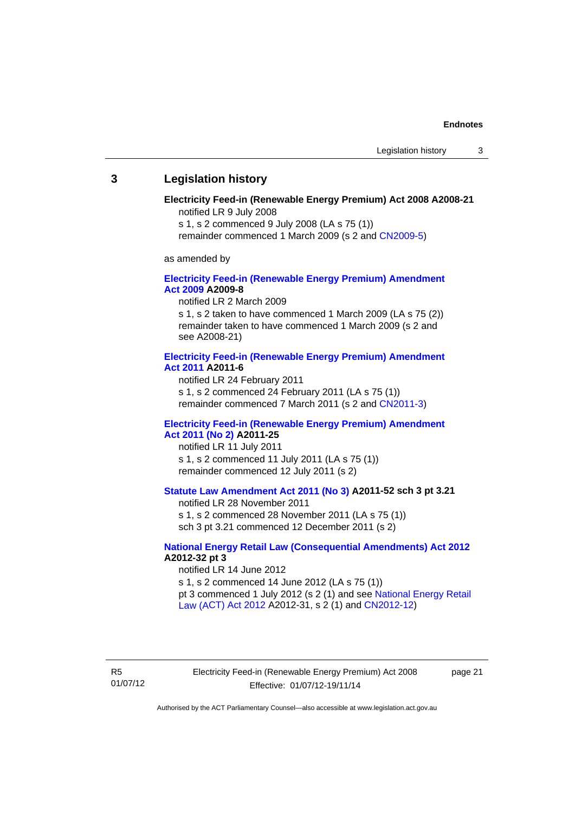#### <span id="page-24-0"></span>**3 Legislation history**

#### **Electricity Feed-in (Renewable Energy Premium) Act 2008 A2008-21**  notified LR 9 July 2008

s 1, s 2 commenced 9 July 2008 (LA s 75 (1))

remainder commenced 1 March 2009 (s 2 and [CN2009-5\)](http://www.legislation.act.gov.au/cn/2009-5/default.asp)

as amended by

#### **[Electricity Feed-in \(Renewable Energy Premium\) Amendment](http://www.legislation.act.gov.au/a/2009-8)  [Act 2009](http://www.legislation.act.gov.au/a/2009-8) A2009-8**

notified LR 2 March 2009

s 1, s 2 taken to have commenced 1 March 2009 (LA s 75 (2)) remainder taken to have commenced 1 March 2009 (s 2 and see A2008-21)

#### **[Electricity Feed-in \(Renewable Energy Premium\) Amendment](http://www.legislation.act.gov.au/a/2011-6)  [Act 2011](http://www.legislation.act.gov.au/a/2011-6) A2011-6**

notified LR 24 February 2011 s 1, s 2 commenced 24 February 2011 (LA s 75 (1)) remainder commenced 7 March 2011 (s 2 and [CN2011-3\)](http://www.legislation.act.gov.au/cn/2011-3/default.asp)

#### **[Electricity Feed-in \(Renewable Energy Premium\) Amendment](http://www.legislation.act.gov.au/a/2011-25)  [Act 2011 \(No 2\)](http://www.legislation.act.gov.au/a/2011-25) A2011-25**

notified LR 11 July 2011 s 1, s 2 commenced 11 July 2011 (LA s 75 (1)) remainder commenced 12 July 2011 (s 2)

#### **[Statute Law Amendment Act 2011 \(No 3\)](http://www.legislation.act.gov.au/a/2011-52) A2011-52 sch 3 pt 3.21**

notified LR 28 November 2011

s 1, s 2 commenced 28 November 2011 (LA s 75 (1)) sch 3 pt 3.21 commenced 12 December 2011 (s 2)

#### **[National Energy Retail Law \(Consequential Amendments\) Act 2012](http://www.legislation.act.gov.au/a/2012-32) A2012-32 pt 3**

notified LR 14 June 2012 s 1, s 2 commenced 14 June 2012 (LA s 75 (1)) pt 3 commenced 1 July 2012 (s 2 (1) and see [National Energy Retail](http://www.legislation.act.gov.au/a/2012-31)  [Law \(ACT\) Act 2012](http://www.legislation.act.gov.au/a/2012-31) A2012-31, s 2 (1) and [CN2012-12\)](http://www.legislation.act.gov.au/cn/2012-12/default.asp)

R5 01/07/12 Electricity Feed-in (Renewable Energy Premium) Act 2008 Effective: 01/07/12-19/11/14

page 21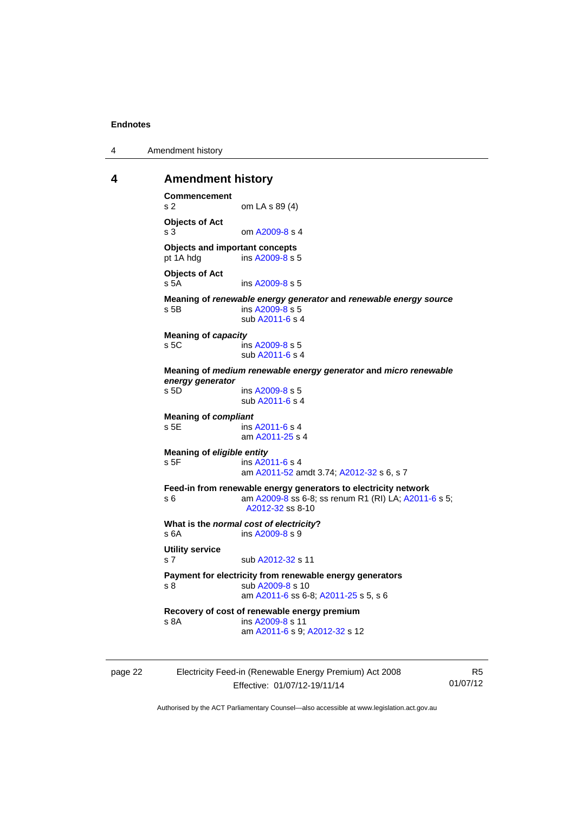4 Amendment history

#### <span id="page-25-0"></span>**4 Amendment history**

```
Commencement 
s 2 om LA s 89 (4) 
Objects of Act 
A2009-8 s 4
Objects and important concepts 
pt 1A hdg ins A2009-8 s 5 
Objects of Act 
 A2009-8 s 5
Meaning of renewable energy generator and renewable energy source
s 5B ins A2009-8 s 5 
                sub A2011-6 s 4 
Meaning of capacity
 A2009-8 s 5
                sub A2011-6 s 4 
Meaning of medium renewable energy generator and micro renewable 
energy generator
                A2009-8 s 5 sub A2011-6 s 4 
Meaning of compliant
 A2011-6 s 4
                am A2011-25 s 4 
Meaning of eligible entity
A2011-6 s 4
                am A2011-52 amdt 3.74; A2012-32 s 6, s 7 
Feed-in from renewable energy generators to electricity network 
s 6 am A2009-8 A2011-6 s 5;
                A2012-32 ss 8-10
What is the normal cost of electricity?<br>
s 6A ins A2009-8 s 9
                A2009-8 s 9
Utility service 
s 7 sub A2012-32 s 11 
Payment for electricity from renewable energy generators 
A2009-8 s 10
                am A2011-6 ss 6-8; A2011-25 s 5, s 6
Recovery of cost of renewable energy premium 
s 8A ins A2009-8 s 11 
                am A2011-6 s 9; A2012-32 s 12
```

| page 22 | Electricity Feed-in (Renewable Energy Premium) Act 2008 | R5       |
|---------|---------------------------------------------------------|----------|
|         | Effective: 01/07/12-19/11/14                            | 01/07/12 |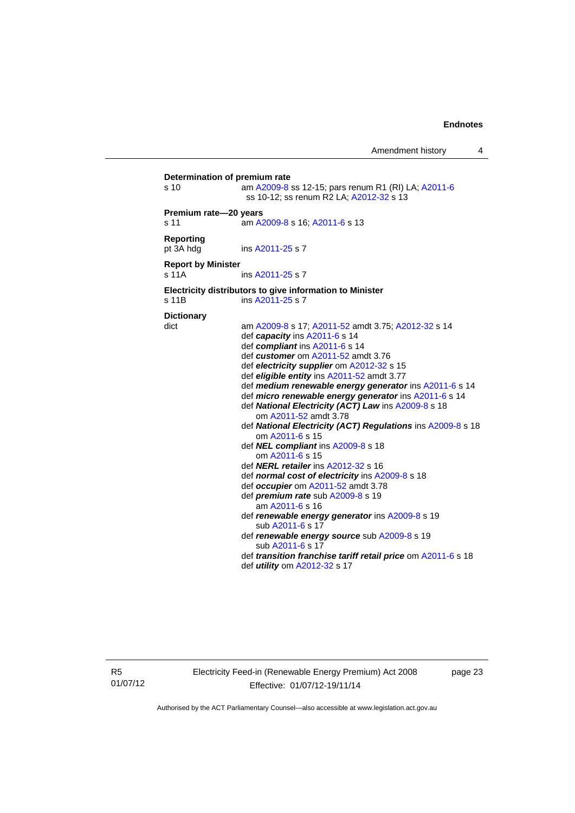| Determination of premium rate |                                                                                                |
|-------------------------------|------------------------------------------------------------------------------------------------|
| s 10                          | am A2009-8 ss 12-15; pars renum R1 (RI) LA; A2011-6<br>ss 10-12; ss renum R2 LA; A2012-32 s 13 |
| Premium rate-20 years         |                                                                                                |
| s 11                          | am A2009-8 s 16; A2011-6 s 13                                                                  |
| <b>Reporting</b><br>pt 3A hdg | ins A2011-25 s 7                                                                               |
| <b>Report by Minister</b>     |                                                                                                |
| s 11A                         | ins A2011-25 s 7                                                                               |
| s 11B                         | Electricity distributors to give information to Minister<br>ins A2011-25 s 7                   |
| <b>Dictionary</b>             |                                                                                                |
| dict                          | am A2009-8 s 17; A2011-52 amdt 3.75; A2012-32 s 14                                             |
|                               | def capacity ins A2011-6 s 14                                                                  |
|                               | def compliant ins A2011-6 s 14                                                                 |
|                               | def customer om A2011-52 amdt 3.76                                                             |
|                               | def electricity supplier om A2012-32 s 15                                                      |
|                               | def eligible entity ins A2011-52 amdt 3.77                                                     |
|                               | def medium renewable energy generator ins A2011-6 s 14                                         |
|                               | def micro renewable energy generator ins A2011-6 s 14                                          |
|                               | def National Electricity (ACT) Law ins A2009-8 s 18<br>om A2011-52 amdt 3.78                   |
|                               | def National Electricity (ACT) Regulations ins A2009-8 s 18                                    |
|                               | om A2011-6 s 15                                                                                |
|                               | def NEL compliant ins A2009-8 s 18                                                             |
|                               | om A2011-6 s 15                                                                                |
|                               | def <b>NERL retailer</b> ins A2012-32 s 16                                                     |
|                               | def normal cost of electricity ins A2009-8 s 18                                                |
|                               | def occupier om A2011-52 amdt 3.78                                                             |
|                               | def premium rate sub A2009-8 s 19                                                              |
|                               | am A2011-6 s 16                                                                                |
|                               | def renewable energy generator ins A2009-8 s 19<br>sub A2011-6 s 17                            |
|                               | def renewable energy source sub A2009-8 s 19<br>sub A2011-6 s 17                               |
|                               | def transition franchise tariff retail price om A2011-6 s 18                                   |
|                               | def <i>utility</i> om A2012-32 s 17                                                            |
|                               |                                                                                                |
|                               |                                                                                                |

R5 01/07/12 Electricity Feed-in (Renewable Energy Premium) Act 2008 Effective: 01/07/12-19/11/14

page 23